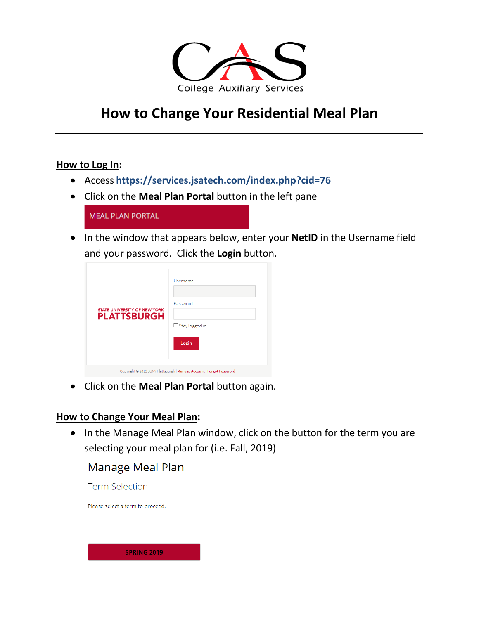

# **How to Change Your Residential Meal Plan**

#### **How to Log In:**

- Access **https://services.jsatech.com/index.php?cid=76**
- Click on the **Meal Plan Portal** button in the left pane

| <b>MEAL PLAN PORTAL</b> |  |
|-------------------------|--|
|                         |  |

• In the window that appears below, enter your **NetID** in the Username field and your password. Click the **Login** button.

| <b>STATE UNIVERSITY OF NEW YORK</b><br><b>PLATTSBURGH</b>            | Username<br>Password<br>$\Box$ Stay logged in<br>Login |  |  |  |
|----------------------------------------------------------------------|--------------------------------------------------------|--|--|--|
| Copyright @ 2018 SUNY Plattsburgh   Manage Account   Forgot Password |                                                        |  |  |  |

• Click on the **Meal Plan Portal** button again.

### **How to Change Your Meal Plan:**

• In the Manage Meal Plan window, click on the button for the term you are selecting your meal plan for (i.e. Fall, 2019)

## Manage Meal Plan

**Term Selection** 

Please select a term to proceed.

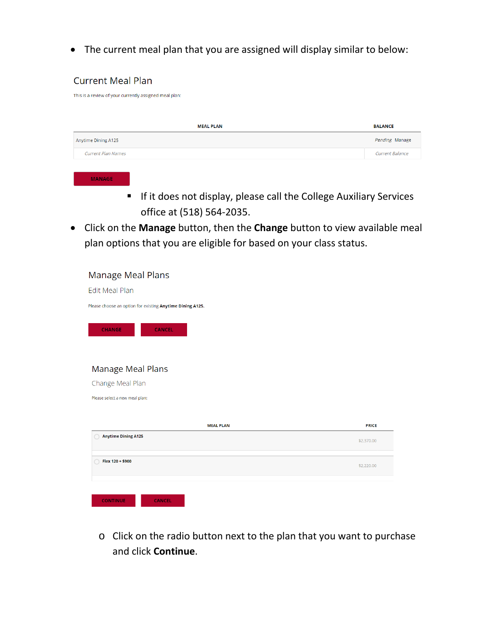• The current meal plan that you are assigned will display similar to below:

#### **Current Meal Plan**

This is a review of your currently assigned meal plan:

| <b>MEAL PLAN</b>          | <b>BALANCE</b>         |
|---------------------------|------------------------|
| Anytime Dining A125       | Pending Manage         |
| <b>Current Plan Names</b> | <b>Current Balance</b> |

**MANAGE** 

- **If it does not display, please call the College Auxiliary Services** office at (518) 564-2035.
- Click on the **Manage** button, then the **Change** button to view available meal plan options that you are eligible for based on your class status.

| Manage Meal Plans                                         |              |
|-----------------------------------------------------------|--------------|
| <b>Edit Meal Plan</b>                                     |              |
| Please choose an option for existing Anytime Dining A125. |              |
| <b>CHANGE</b><br><b>CANCEL</b>                            |              |
| Manage Meal Plans                                         |              |
| Change Meal Plan                                          |              |
| Please select a new meal plan:                            |              |
|                                                           |              |
| <b>MEAL PLAN</b>                                          | <b>PRICE</b> |
| <b>Anytime Dining A125</b>                                | \$2,370.00   |
|                                                           |              |
| Flex 120 + \$900                                          | \$2,220.00   |
|                                                           |              |
| <b>CONTINUE</b><br><b>CANCEL</b>                          |              |

o Click on the radio button next to the plan that you want to purchase and click **Continue**.